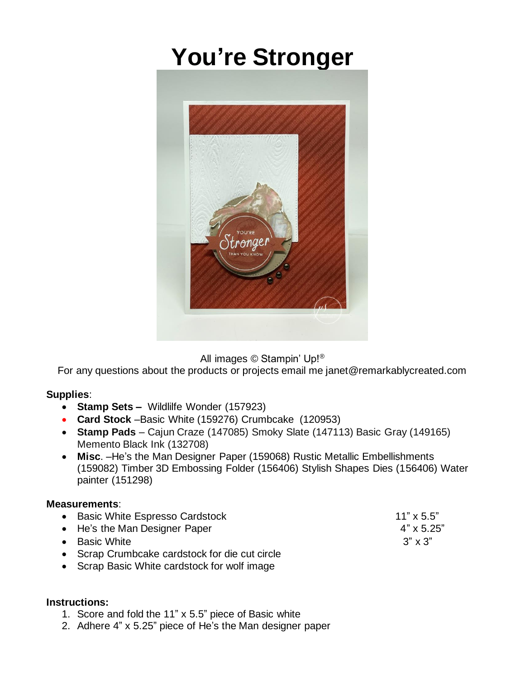## **You're Stronger**



All images © Stampin' Up!®

For any questions about the products or projects email me janet@remarkablycreated.com

## **Supplies**:

- **Stamp Sets** *–* Wildlilfe Wonder (157923)
- **Card Stock** –Basic White (159276) Crumbcake (120953)
- **Stamp Pads** Cajun Craze (147085) Smoky Slate (147113) Basic Gray (149165) Memento Black Ink (132708)
- **Misc**. –He's the Man Designer Paper (159068) Rustic Metallic Embellishments (159082) Timber 3D Embossing Folder (156406) Stylish Shapes Dies (156406) Water painter (151298)

## **Measurements**:

- Basic White Espresso Cardstock 11" x 5.5" • He's the Man Designer Paper 4" x 5.25"
- Basic White  $3" \times 3"$
- Scrap Crumbcake cardstock for die cut circle
- Scrap Basic White cardstock for wolf image

## **Instructions:**

- 1. Score and fold the 11" x 5.5" piece of Basic white
- 2. Adhere 4" x 5.25" piece of He's the Man designer paper